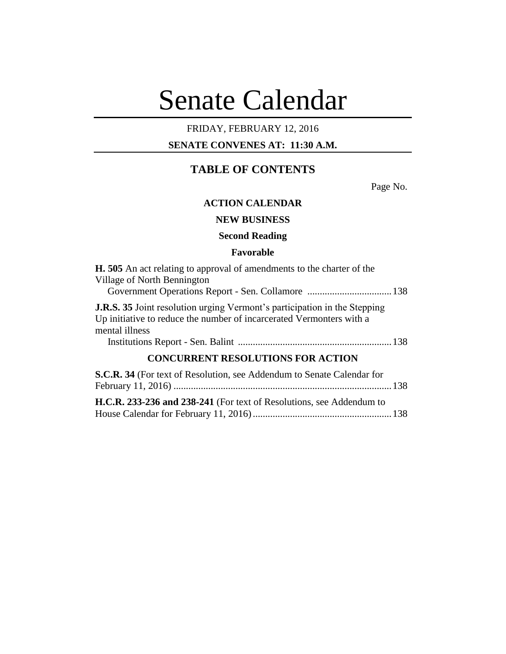# Senate Calendar

## FRIDAY, FEBRUARY 12, 2016

## **SENATE CONVENES AT: 11:30 A.M.**

# **TABLE OF CONTENTS**

Page No.

## **ACTION CALENDAR**

## **NEW BUSINESS**

### **Second Reading**

#### **Favorable**

| <b>H.</b> 505 An act relating to approval of amendments to the charter of the<br>Village of North Bennington                                                               |  |
|----------------------------------------------------------------------------------------------------------------------------------------------------------------------------|--|
| <b>J.R.S. 35</b> Joint resolution urging Vermont's participation in the Stepping<br>Up initiative to reduce the number of incarcerated Vermonters with a<br>mental illness |  |
|                                                                                                                                                                            |  |
| <b>CONCURRENT RESOLUTIONS FOR ACTION</b>                                                                                                                                   |  |
| S.C.R. 34 (For text of Resolution, see Addendum to Senate Calendar for                                                                                                     |  |
| H.C.R. 233-236 and 238-241 (For text of Resolutions, see Addendum to                                                                                                       |  |

House Calendar for February 11, 2016)........................................................138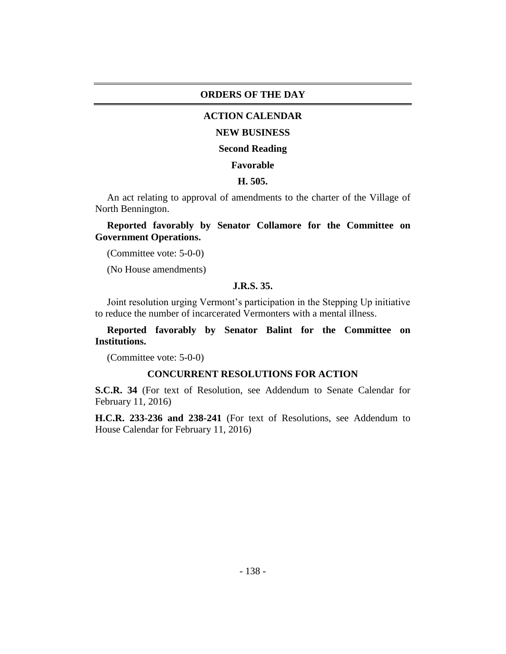#### **ORDERS OF THE DAY**

#### **ACTION CALENDAR**

#### **NEW BUSINESS**

#### **Second Reading**

## **Favorable**

#### **H. 505.**

An act relating to approval of amendments to the charter of the Village of North Bennington.

## **Reported favorably by Senator Collamore for the Committee on Government Operations.**

(Committee vote: 5-0-0)

(No House amendments)

## **J.R.S. 35.**

Joint resolution urging Vermont's participation in the Stepping Up initiative to reduce the number of incarcerated Vermonters with a mental illness.

**Reported favorably by Senator Balint for the Committee on Institutions.**

(Committee vote: 5-0-0)

## **CONCURRENT RESOLUTIONS FOR ACTION**

**S.C.R. 34** (For text of Resolution, see Addendum to Senate Calendar for February 11, 2016)

**H.C.R. 233-236 and 238-241** (For text of Resolutions, see Addendum to House Calendar for February 11, 2016)